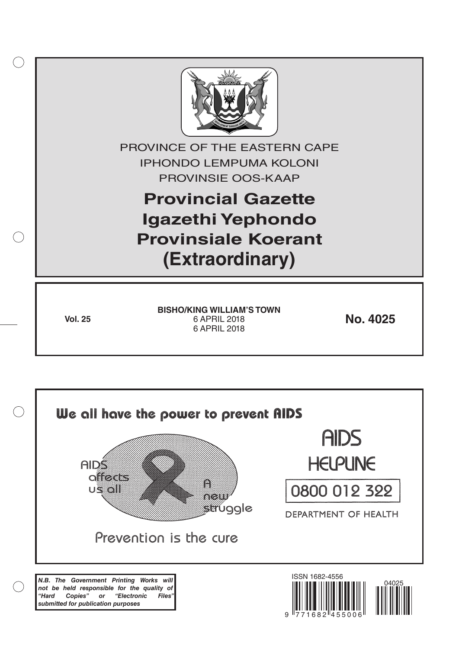

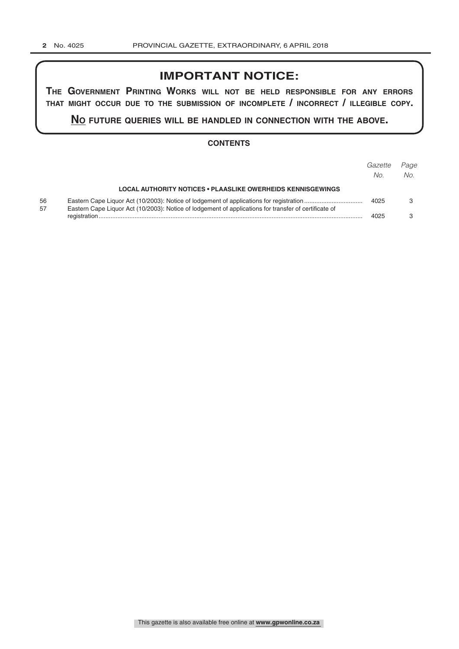## **IMPORTANT NOTICE:**

**The GovernmenT PrinTinG Works Will noT be held resPonsible for any errors ThaT miGhT occur due To The submission of incomPleTe / incorrecT / illeGible coPy.**

**no fuTure queries Will be handled in connecTion WiTh The above.**

## **CONTENTS**

|          |                                                                                                       | Gazette<br>No. | Page<br>No. |
|----------|-------------------------------------------------------------------------------------------------------|----------------|-------------|
|          | <b>LOCAL AUTHORITY NOTICES • PLAASLIKE OWERHEIDS KENNISGEWINGS</b>                                    |                |             |
| 56<br>57 | Eastern Cape Liquor Act (10/2003): Notice of lodgement of applications for transfer of certificate of | 4025           |             |
|          |                                                                                                       | 4025           |             |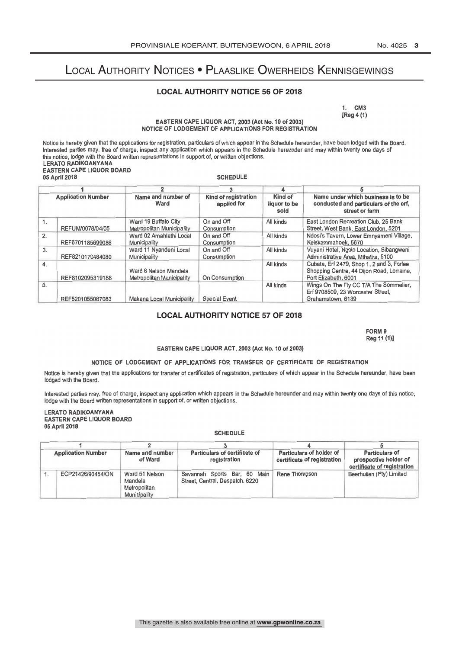# Local Authority Notices • Plaaslike Owerheids Kennisgewings

## **LOCAL AUTHORITY NOTICE 56 OF 2018**

1. CM3 [Reg 4 (1)

EASTERN CAPE LIQUOR ACT, 2003 (Act No. 10 of 2003) NOTICE OF LODGEMENT OF APPLICATIONS FOR REGISTRATION

Notice is hereby given that the applications for registration, particulars of which appear in the Schedule hereunder, have been lodged with the Board. Interested parties may, free of charge, inspect any application which appears in the Schedule hereunder and may within twenty one days of this notice, lodge with the Board written representations in support of, or written objections. LERATO RADIKOANYANA EASTERN CAPE LIQUOR BOARD

## 05 April 2018

**SCHEDULE** 

| <b>Application Number</b> |                  |                                                    |                                     |                                 |                                                                                                                |
|---------------------------|------------------|----------------------------------------------------|-------------------------------------|---------------------------------|----------------------------------------------------------------------------------------------------------------|
|                           |                  | Name and number of<br>Ward                         | Kind of registration<br>applied for | Kind of<br>liquor to be<br>sold | Name under which business is to be<br>conducted and particulars of the erf,<br>street or farm                  |
| 1.                        | REFUM/0078/04/05 | Ward 19 Buffalo City<br>Metropolitan Municipality  | On and Off<br><b>Consumption</b>    | All kinds                       | East London Recreation Club, 25 Bank<br>Street, West Bank, East London, 5201                                   |
| 2.                        | REF6701185699086 | Ward 02 Amahlathi Local<br>Municipality            | On and Off<br>Consumption           | All kinds                       | Ndosi's Tavern, Lower Emnyameni Village,<br>Keiskammahoek, 5670                                                |
| 3.                        | REF8210170484080 | Ward 11 Nyandeni Local<br>Municipality             | On and Off<br>Consumption           | All kinds                       | Vuyani Hotel, Ngolo Location, Sibangweni<br>Administrative Area, Mthatha, 5100                                 |
| 4.                        | REF8102095319188 | Ward 8 Nelson Mandela<br>Metropolitan Municipality | On Consumption                      | All kinds                       | Cubata, Erf 2479, Shop 1, 2 and 3, Forlee<br>Shopping Centre, 44 Dijon Road, Lorraine,<br>Port Elizabeth, 6001 |
| 5.                        | REF5201055087083 | Makana Local Municipality                          | <b>Special Event</b>                | All kinds                       | Wings On The Fly CC T/A The Sommelier,<br>Erf 9708509, 23 Worcester Street.<br>Grahamstown, 6139               |

## **LOCAL AUTHORITY NOTICE 57 OF 2018**

FORM 9 Reg 11 (1)]

### EASTERN CAPE LIQUOR ACT, 2003 (Act No. 10 of 2003)

#### NOTICE OF LODGEMENT OF APPLICATIONS FOR TRANSFER OF CERTIFICATE OF REGISTRATION

Notice is hereby given that the applications for transfer of certificates of registration, particulars of which appear in the Schedule hereunder, have been lodged with the Board.

Interested parties may, free of charge, inspect any application which appears in the Schedule hereunder and may within twenty one days of this notice, lodge with the Board written representations in support of, or written objections.

### LERATO RADIKOANYANA EASTERN CAPE LIQUOR BOARD 05 April 2018

#### **SCHEDULE**

| <b>Application Number</b> | Name and number<br>of Ward                                | Particulars of certificate of<br>registration                   | Particulars of holder of<br>certificate of registration | <b>Particulars of</b><br>prospective holder of<br>certificate of registration |  |
|---------------------------|-----------------------------------------------------------|-----------------------------------------------------------------|---------------------------------------------------------|-------------------------------------------------------------------------------|--|
| ECP21426/90454/ON         | Ward 51 Nelson<br>Mandela<br>Metropolitan<br>Municipality | Savannah Sports Bar, 60 Main<br>Street, Central, Despatch, 6220 | Rene Thompson                                           | Beerhuiien (Pty) Limited                                                      |  |